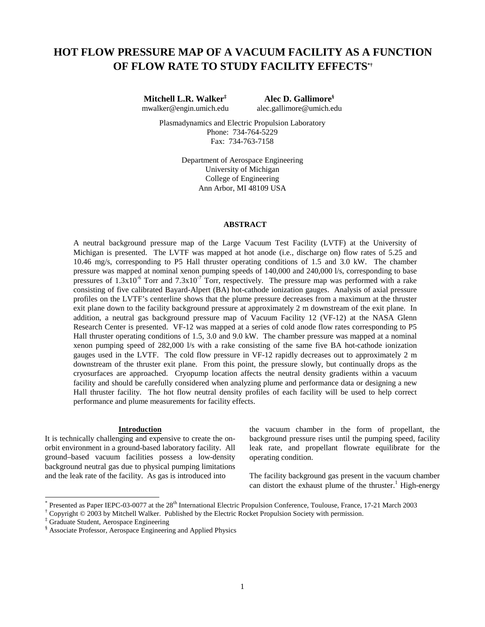# **HOT FLOW PRESSURE MAP OF A VACUUM FACILITY AS A FUNCTION OF FLOW RATE TO STUDY FACILITY EFFECTS\*†**

**Mitchell L.R. Walker‡ Alec D. Gallimore§** mwalker@engin.umich.edu alec.gallimore@umich.edu

Plasmadynamics and Electric Propulsion Laboratory Phone: 734-764-5229 Fax: 734-763-7158

> Department of Aerospace Engineering University of Michigan College of Engineering Ann Arbor, MI 48109 USA

## **ABSTRACT**

A neutral background pressure map of the Large Vacuum Test Facility (LVTF) at the University of Michigan is presented. The LVTF was mapped at hot anode (i.e., discharge on) flow rates of 5.25 and 10.46 mg/s, corresponding to P5 Hall thruster operating conditions of 1.5 and 3.0 kW. The chamber pressure was mapped at nominal xenon pumping speeds of 140,000 and 240,000 l/s, corresponding to base pressures of  $1.3x10^{-6}$  Torr and  $7.3x10^{-7}$  Torr, respectively. The pressure map was performed with a rake consisting of five calibrated Bayard-Alpert (BA) hot-cathode ionization gauges. Analysis of axial pressure profiles on the LVTF's centerline shows that the plume pressure decreases from a maximum at the thruster exit plane down to the facility background pressure at approximately 2 m downstream of the exit plane. In addition, a neutral gas background pressure map of Vacuum Facility 12 (VF-12) at the NASA Glenn Research Center is presented. VF-12 was mapped at a series of cold anode flow rates corresponding to P5 Hall thruster operating conditions of 1.5, 3.0 and 9.0 kW. The chamber pressure was mapped at a nominal xenon pumping speed of 282,000 l/s with a rake consisting of the same five BA hot-cathode ionization gauges used in the LVTF. The cold flow pressure in VF-12 rapidly decreases out to approximately 2 m downstream of the thruster exit plane. From this point, the pressure slowly, but continually drops as the cryosurfaces are approached. Cryopump location affects the neutral density gradients within a vacuum facility and should be carefully considered when analyzing plume and performance data or designing a new Hall thruster facility. The hot flow neutral density profiles of each facility will be used to help correct performance and plume measurements for facility effects.

#### **Introduction**

It is technically challenging and expensive to create the onorbit environment in a ground-based laboratory facility. All ground–based vacuum facilities possess a low-density background neutral gas due to physical pumping limitations and the leak rate of the facility. As gas is introduced into

the vacuum chamber in the form of propellant, the background pressure rises until the pumping speed, facility leak rate, and propellant flowrate equilibrate for the operating condition.

The facility background gas present in the vacuum chamber can distort the exhaust plume of the thruster.<sup>1</sup> High-energy

l

<sup>&</sup>lt;sup>\*</sup> Presented as Paper IEPC-03-0077 at the 28<sup>th</sup> International Electric Propulsion Conference, Toulouse, France, 17-21 March 2003

<sup>†</sup> Copyright © 2003 by Mitchell Walker. Published by the Electric Rocket Propulsion Society with permission.

<sup>‡</sup> Graduate Student, Aerospace Engineering

<sup>§</sup> Associate Professor, Aerospace Engineering and Applied Physics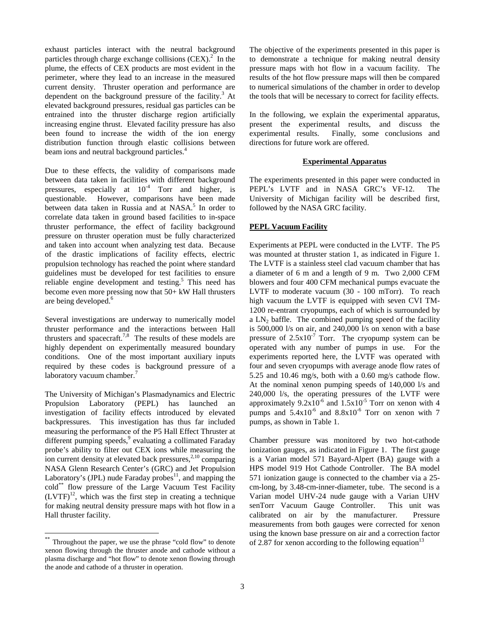exhaust particles interact with the neutral background particles through charge exchange collisions  $(CEX)^2$ . In the plume, the effects of CEX products are most evident in the perimeter, where they lead to an increase in the measured current density. Thruster operation and performance are dependent on the background pressure of the facility.<sup>3</sup> At elevated background pressures, residual gas particles can be entrained into the thruster discharge region artificially increasing engine thrust. Elevated facility pressure has also been found to increase the width of the ion energy distribution function through elastic collisions between beam ions and neutral background particles.<sup>4</sup>

Due to these effects, the validity of comparisons made between data taken in facilities with different background pressures, especially at  $10^{-4}$  Torr and higher, is questionable. However, comparisons have been made between data taken in Russia and at NASA.<sup>5</sup> In order to correlate data taken in ground based facilities to in-space thruster performance, the effect of facility background pressure on thruster operation must be fully characterized and taken into account when analyzing test data. Because of the drastic implications of facility effects, electric propulsion technology has reached the point where standard guidelines must be developed for test facilities to ensure reliable engine development and testing.<sup>5</sup> This need has become even more pressing now that 50+ kW Hall thrusters are being developed.<sup>6</sup>

Several investigations are underway to numerically model thruster performance and the interactions between Hall thrusters and spacecraft.<sup>7,8</sup> The results of these models are highly dependent on experimentally measured boundary conditions. One of the most important auxiliary inputs required by these codes is background pressure of a laboratory vacuum chamber.<sup>7</sup>

The University of Michigan's Plasmadynamics and Electric Propulsion Laboratory (PEPL) has launched an investigation of facility effects introduced by elevated backpressures. This investigation has thus far included measuring the performance of the P5 Hall Effect Thruster at different pumping speeds,<sup>9</sup> evaluating a collimated Faraday probe's ability to filter out CEX ions while measuring the ion current density at elevated back pressures, $2,10$  comparing NASA Glenn Research Center's (GRC) and Jet Propulsion Laboratory's (JPL) nude Faraday probes<sup>11</sup>, and mapping the cold\*\* flow pressure of the Large Vacuum Test Facility  $(LVTF)^{12}$ , which was the first step in creating a technique for making neutral density pressure maps with hot flow in a Hall thruster facility.

 $\overline{a}$ 

The objective of the experiments presented in this paper is to demonstrate a technique for making neutral density pressure maps with hot flow in a vacuum facility. The results of the hot flow pressure maps will then be compared to numerical simulations of the chamber in order to develop the tools that will be necessary to correct for facility effects.

In the following, we explain the experimental apparatus, present the experimental results, and discuss the experimental results. Finally, some conclusions and directions for future work are offered.

# **Experimental Apparatus**

The experiments presented in this paper were conducted in PEPL's LVTF and in NASA GRC's VF-12. The University of Michigan facility will be described first, followed by the NASA GRC facility.

# **PEPL Vacuum Facility**

Experiments at PEPL were conducted in the LVTF. The P5 was mounted at thruster station 1, as indicated in Figure 1. The LVTF is a stainless steel clad vacuum chamber that has a diameter of 6 m and a length of 9 m. Two 2,000 CFM blowers and four 400 CFM mechanical pumps evacuate the LVTF to moderate vacuum (30 - 100 mTorr). To reach high vacuum the LVTF is equipped with seven CVI TM-1200 re-entrant cryopumps, each of which is surrounded by a  $LN_2$  baffle. The combined pumping speed of the facility is 500,000 l/s on air, and 240,000 l/s on xenon with a base pressure of  $2.5x10^{-7}$  Torr. The cryopump system can be operated with any number of pumps in use. For the experiments reported here, the LVTF was operated with four and seven cryopumps with average anode flow rates of 5.25 and 10.46 mg/s, both with a 0.60 mg/s cathode flow. At the nominal xenon pumping speeds of 140,000 l/s and 240,000 l/s, the operating pressures of the LVTF were approximately  $9.2x10^{-6}$  and  $1.5x10^{-5}$  Torr on xenon with 4 pumps and  $5.4x10^{-6}$  and  $8.8x10^{-6}$  Torr on xenon with 7 pumps, as shown in Table 1.

Chamber pressure was monitored by two hot-cathode ionization gauges, as indicated in Figure 1. The first gauge is a Varian model 571 Bayard-Alpert (BA) gauge with a HPS model 919 Hot Cathode Controller. The BA model 571 ionization gauge is connected to the chamber via a 25 cm-long, by 3.48-cm-inner-diameter, tube. The second is a Varian model UHV-24 nude gauge with a Varian UHV senTorr Vacuum Gauge Controller. This unit was calibrated on air by the manufacturer. Pressure measurements from both gauges were corrected for xenon using the known base pressure on air and a correction factor of 2.87 for xenon according to the following equation<sup>13</sup>

Throughout the paper, we use the phrase "cold flow" to denote xenon flowing through the thruster anode and cathode without a plasma discharge and "hot flow" to denote xenon flowing through the anode and cathode of a thruster in operation.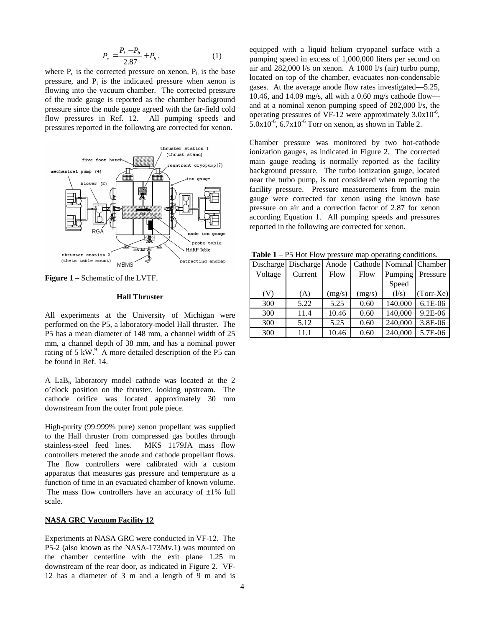$$
P_c = \frac{P_i - P_b}{2.87} + P_b, \qquad (1)
$$

where  $P_c$  is the corrected pressure on xenon,  $P_b$  is the base pressure, and  $P_i$  is the indicated pressure when xenon is flowing into the vacuum chamber. The corrected pressure of the nude gauge is reported as the chamber background pressure since the nude gauge agreed with the far-field cold flow pressures in Ref. 12. All pumping speeds and pressures reported in the following are corrected for xenon.



**Figure 1** – Schematic of the LVTF.

#### **Hall Thruster**

All experiments at the University of Michigan were performed on the P5, a laboratory-model Hall thruster. The P5 has a mean diameter of 148 mm, a channel width of 25 mm, a channel depth of 38 mm, and has a nominal power rating of 5 kW. $^{9}$  A more detailed description of the P5 can be found in Ref. 14.

A LaB $_6$  laboratory model cathode was located at the 2 o'clock position on the thruster, looking upstream. The cathode orifice was located approximately 30 mm downstream from the outer front pole piece.

High-purity (99.999% pure) xenon propellant was supplied to the Hall thruster from compressed gas bottles through stainless-steel feed lines. MKS 1179JA mass flow controllers metered the anode and cathode propellant flows. The flow controllers were calibrated with a custom apparatus that measures gas pressure and temperature as a function of time in an evacuated chamber of known volume. The mass flow controllers have an accuracy of  $\pm 1\%$  full scale.

### **NASA GRC Vacuum Facility 12**

Experiments at NASA GRC were conducted in VF-12. The P5-2 (also known as the NASA-173Mv.1) was mounted on the chamber centerline with the exit plane 1.25 m downstream of the rear door, as indicated in Figure 2. VF-12 has a diameter of 3 m and a length of 9 m and is

equipped with a liquid helium cryopanel surface with a pumping speed in excess of 1,000,000 liters per second on air and 282,000 l/s on xenon. A 1000 l/s (air) turbo pump, located on top of the chamber, evacuates non-condensable gases. At the average anode flow rates investigated—5.25, 10.46, and 14.09 mg/s, all with a 0.60 mg/s cathode flow and at a nominal xenon pumping speed of 282,000 l/s, the operating pressures of VF-12 were approximately  $3.0x10^{-6}$ .  $5.0x10^{-6}$ ,  $6.7x10^{-6}$  Torr on xenon, as shown in Table 2.

Chamber pressure was monitored by two hot-cathode ionization gauges, as indicated in Figure 2. The corrected main gauge reading is normally reported as the facility background pressure. The turbo ionization gauge, located near the turbo pump, is not considered when reporting the facility pressure. Pressure measurements from the main gauge were corrected for xenon using the known base pressure on air and a correction factor of 2.87 for xenon according Equation 1. All pumping speeds and pressures reported in the following are corrected for xenon.

**Table 1** – P5 Hot Flow pressure map operating conditions.

| <b>Table 1</b> – 1 J Hot I fow pressure map operating conditions. |                           |        |             |         |                         |
|-------------------------------------------------------------------|---------------------------|--------|-------------|---------|-------------------------|
|                                                                   | Discharge Discharge Anode |        |             |         | Cathode Nominal Chamber |
| Voltage                                                           | Current                   | Flow   | <b>Flow</b> | Pumping | Pressure                |
|                                                                   |                           |        |             | Speed   |                         |
| (V)                                                               | (A)                       | (mg/s) | (mg/s)      | (1/s)   | $(Torr-Xe)$             |
| 300                                                               | 5.22                      | 5.25   | 0.60        | 140,000 | 6.1E-06                 |
| 300                                                               | 11.4                      | 10.46  | 0.60        | 140,000 | 9.2E-06                 |
| 300                                                               | 5.12                      | 5.25   | 0.60        | 240,000 | 3.8E-06                 |
| 300                                                               | 11.1                      | 10.46  | 0.60        | 240,000 | 5.7E-06                 |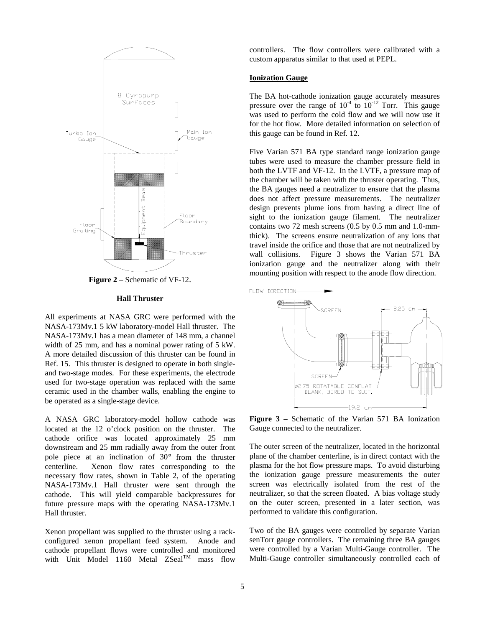

**Figure 2** – Schematic of VF-12.

#### **Hall Thruster**

All experiments at NASA GRC were performed with the NASA-173Mv.1 5 kW laboratory-model Hall thruster. The NASA-173Mv.1 has a mean diameter of 148 mm, a channel width of 25 mm, and has a nominal power rating of 5 kW. A more detailed discussion of this thruster can be found in Ref. 15. This thruster is designed to operate in both singleand two-stage modes. For these experiments, the electrode used for two-stage operation was replaced with the same ceramic used in the chamber walls, enabling the engine to be operated as a single-stage device.

A NASA GRC laboratory-model hollow cathode was located at the 12 o'clock position on the thruster. The cathode orifice was located approximately 25 mm downstream and 25 mm radially away from the outer front pole piece at an inclination of 30° from the thruster centerline. Xenon flow rates corresponding to the necessary flow rates, shown in Table 2, of the operating NASA-173Mv.1 Hall thruster were sent through the cathode. This will yield comparable backpressures for future pressure maps with the operating NASA-173Mv.1 Hall thruster.

Xenon propellant was supplied to the thruster using a rackconfigured xenon propellant feed system. Anode and cathode propellant flows were controlled and monitored with Unit Model 1160 Metal  $ZScal^{TM}$  mass flow

controllers. The flow controllers were calibrated with a custom apparatus similar to that used at PEPL.

# **Ionization Gauge**

The BA hot-cathode ionization gauge accurately measures pressure over the range of  $10^{-4}$  to  $10^{-12}$  Torr. This gauge was used to perform the cold flow and we will now use it for the hot flow. More detailed information on selection of this gauge can be found in Ref. 12.

Five Varian 571 BA type standard range ionization gauge tubes were used to measure the chamber pressure field in both the LVTF and VF-12. In the LVTF, a pressure map of the chamber will be taken with the thruster operating. Thus, the BA gauges need a neutralizer to ensure that the plasma does not affect pressure measurements. The neutralizer design prevents plume ions from having a direct line of sight to the ionization gauge filament. The neutralizer contains two 72 mesh screens (0.5 by 0.5 mm and 1.0-mmthick). The screens ensure neutralization of any ions that travel inside the orifice and those that are not neutralized by wall collisions. Figure 3 shows the Varian 571 BA ionization gauge and the neutralizer along with their mounting position with respect to the anode flow direction.



**Figure 3** – Schematic of the Varian 571 BA Ionization Gauge connected to the neutralizer.

The outer screen of the neutralizer, located in the horizontal plane of the chamber centerline, is in direct contact with the plasma for the hot flow pressure maps. To avoid disturbing the ionization gauge pressure measurements the outer screen was electrically isolated from the rest of the neutralizer, so that the screen floated. A bias voltage study on the outer screen, presented in a later section, was performed to validate this configuration.

Two of the BA gauges were controlled by separate Varian senTorr gauge controllers. The remaining three BA gauges were controlled by a Varian Multi-Gauge controller. The Multi-Gauge controller simultaneously controlled each of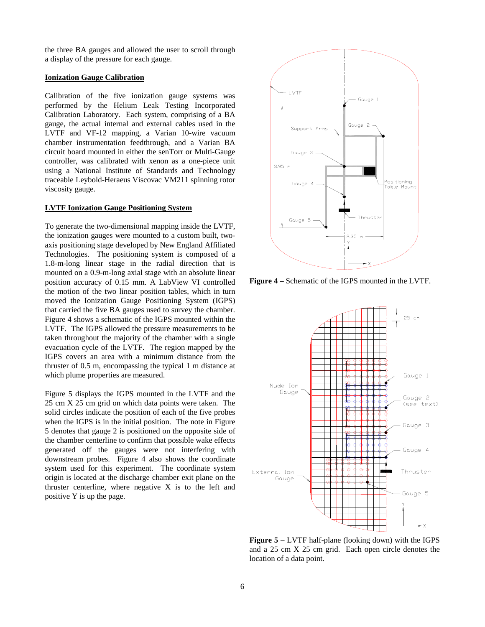the three BA gauges and allowed the user to scroll through a display of the pressure for each gauge.

# **Ionization Gauge Calibration**

Calibration of the five ionization gauge systems was performed by the Helium Leak Testing Incorporated Calibration Laboratory. Each system, comprising of a BA gauge, the actual internal and external cables used in the LVTF and VF-12 mapping, a Varian 10-wire vacuum chamber instrumentation feedthrough, and a Varian BA circuit board mounted in either the senTorr or Multi-Gauge controller, was calibrated with xenon as a one-piece unit using a National Institute of Standards and Technology traceable Leybold-Heraeus Viscovac VM211 spinning rotor viscosity gauge.

#### **LVTF Ionization Gauge Positioning System**

To generate the two-dimensional mapping inside the LVTF, the ionization gauges were mounted to a custom built, twoaxis positioning stage developed by New England Affiliated Technologies. The positioning system is composed of a 1.8-m-long linear stage in the radial direction that is mounted on a 0.9-m-long axial stage with an absolute linear position accuracy of 0.15 mm. A LabView VI controlled the motion of the two linear position tables, which in turn moved the Ionization Gauge Positioning System (IGPS) that carried the five BA gauges used to survey the chamber. Figure 4 shows a schematic of the IGPS mounted within the LVTF. The IGPS allowed the pressure measurements to be taken throughout the majority of the chamber with a single evacuation cycle of the LVTF. The region mapped by the IGPS covers an area with a minimum distance from the thruster of 0.5 m, encompassing the typical 1 m distance at which plume properties are measured.

Figure 5 displays the IGPS mounted in the LVTF and the 25 cm X 25 cm grid on which data points were taken. The solid circles indicate the position of each of the five probes when the IGPS is in the initial position. The note in Figure 5 denotes that gauge 2 is positioned on the opposite side of the chamber centerline to confirm that possible wake effects generated off the gauges were not interfering with downstream probes. Figure 4 also shows the coordinate system used for this experiment. The coordinate system origin is located at the discharge chamber exit plane on the thruster centerline, where negative X is to the left and positive Y is up the page.



**Figure 4** – Schematic of the IGPS mounted in the LVTF.



**Figure 5** – LVTF half-plane (looking down) with the IGPS and a 25 cm X 25 cm grid. Each open circle denotes the location of a data point.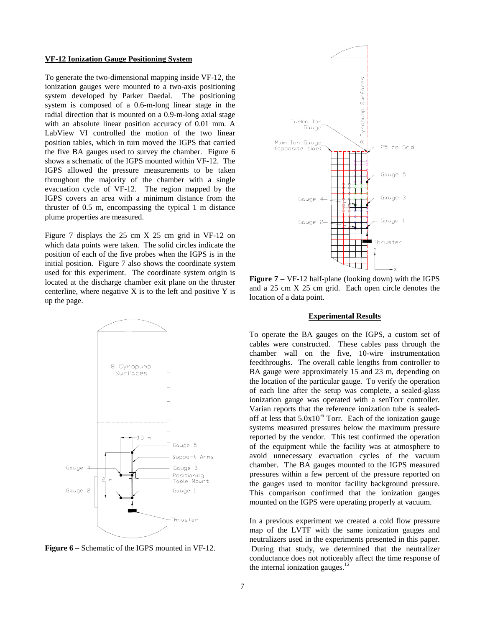#### **VF-12 Ionization Gauge Positioning System**

To generate the two-dimensional mapping inside VF-12, the ionization gauges were mounted to a two-axis positioning system developed by Parker Daedal. The positioning system is composed of a 0.6-m-long linear stage in the radial direction that is mounted on a 0.9-m-long axial stage with an absolute linear position accuracy of 0.01 mm. A LabView VI controlled the motion of the two linear position tables, which in turn moved the IGPS that carried the five BA gauges used to survey the chamber. Figure 6 shows a schematic of the IGPS mounted within VF-12. The IGPS allowed the pressure measurements to be taken throughout the majority of the chamber with a single evacuation cycle of VF-12. The region mapped by the IGPS covers an area with a minimum distance from the thruster of 0.5 m, encompassing the typical 1 m distance plume properties are measured.

Figure 7 displays the 25 cm X 25 cm grid in VF-12 on which data points were taken. The solid circles indicate the position of each of the five probes when the IGPS is in the initial position. Figure 7 also shows the coordinate system used for this experiment. The coordinate system origin is located at the discharge chamber exit plane on the thruster centerline, where negative  $X$  is to the left and positive  $Y$  is up the page.



**Figure 6** – Schematic of the IGPS mounted in VF-12.



**Figure 7** – VF-12 half-plane (looking down) with the IGPS and a 25 cm X 25 cm grid. Each open circle denotes the location of a data point.

## **Experimental Results**

To operate the BA gauges on the IGPS, a custom set of cables were constructed. These cables pass through the chamber wall on the five, 10-wire instrumentation feedthroughs. The overall cable lengths from controller to BA gauge were approximately 15 and 23 m, depending on the location of the particular gauge. To verify the operation of each line after the setup was complete, a sealed-glass ionization gauge was operated with a senTorr controller. Varian reports that the reference ionization tube is sealedoff at less that  $5.0x10^{-6}$  Torr. Each of the ionization gauge systems measured pressures below the maximum pressure reported by the vendor. This test confirmed the operation of the equipment while the facility was at atmosphere to avoid unnecessary evacuation cycles of the vacuum chamber. The BA gauges mounted to the IGPS measured pressures within a few percent of the pressure reported on the gauges used to monitor facility background pressure. This comparison confirmed that the ionization gauges mounted on the IGPS were operating properly at vacuum.

In a previous experiment we created a cold flow pressure map of the LVTF with the same ionization gauges and neutralizers used in the experiments presented in this paper. During that study, we determined that the neutralizer conductance does not noticeably affect the time response of the internal ionization gauges. $^{12}$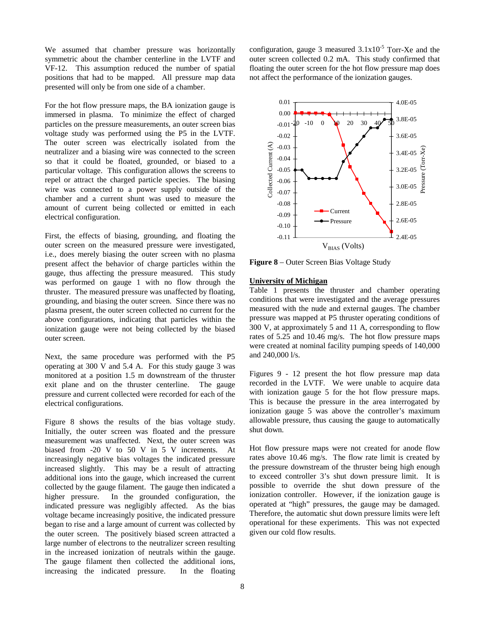We assumed that chamber pressure was horizontally symmetric about the chamber centerline in the LVTF and VF-12. This assumption reduced the number of spatial positions that had to be mapped. All pressure map data presented will only be from one side of a chamber.

For the hot flow pressure maps, the BA ionization gauge is immersed in plasma. To minimize the effect of charged particles on the pressure measurements, an outer screen bias voltage study was performed using the P5 in the LVTF. The outer screen was electrically isolated from the neutralizer and a biasing wire was connected to the screen so that it could be floated, grounded, or biased to a particular voltage. This configuration allows the screens to repel or attract the charged particle species. The biasing wire was connected to a power supply outside of the chamber and a current shunt was used to measure the amount of current being collected or emitted in each electrical configuration.

First, the effects of biasing, grounding, and floating the outer screen on the measured pressure were investigated, i.e., does merely biasing the outer screen with no plasma present affect the behavior of charge particles within the gauge, thus affecting the pressure measured. This study was performed on gauge 1 with no flow through the thruster. The measured pressure was unaffected by floating, grounding, and biasing the outer screen. Since there was no plasma present, the outer screen collected no current for the above configurations, indicating that particles within the ionization gauge were not being collected by the biased outer screen.

Next, the same procedure was performed with the P5 operating at 300 V and 5.4 A. For this study gauge 3 was monitored at a position 1.5 m downstream of the thruster exit plane and on the thruster centerline. The gauge pressure and current collected were recorded for each of the electrical configurations.

Figure 8 shows the results of the bias voltage study. Initially, the outer screen was floated and the pressure measurement was unaffected. Next, the outer screen was biased from -20 V to 50 V in 5 V increments. At increasingly negative bias voltages the indicated pressure increased slightly. This may be a result of attracting additional ions into the gauge, which increased the current collected by the gauge filament. The gauge then indicated a higher pressure. In the grounded configuration, the indicated pressure was negligibly affected. As the bias voltage became increasingly positive, the indicated pressure began to rise and a large amount of current was collected by the outer screen. The positively biased screen attracted a large number of electrons to the neutralizer screen resulting in the increased ionization of neutrals within the gauge. The gauge filament then collected the additional ions, increasing the indicated pressure. In the floating

configuration, gauge 3 measured  $3.1x10^{-5}$  Torr-Xe and the outer screen collected 0.2 mA. This study confirmed that floating the outer screen for the hot flow pressure map does not affect the performance of the ionization gauges.



**Figure 8** – Outer Screen Bias Voltage Study

## **University of Michigan**

Table 1 presents the thruster and chamber operating conditions that were investigated and the average pressures measured with the nude and external gauges. The chamber pressure was mapped at P5 thruster operating conditions of 300 V, at approximately 5 and 11 A, corresponding to flow rates of 5.25 and 10.46 mg/s. The hot flow pressure maps were created at nominal facility pumping speeds of 140,000 and 240,000 l/s.

Figures 9 - 12 present the hot flow pressure map data recorded in the LVTF. We were unable to acquire data with ionization gauge 5 for the hot flow pressure maps. This is because the pressure in the area interrogated by ionization gauge 5 was above the controller's maximum allowable pressure, thus causing the gauge to automatically shut down.

Hot flow pressure maps were not created for anode flow rates above 10.46 mg/s. The flow rate limit is created by the pressure downstream of the thruster being high enough to exceed controller 3's shut down pressure limit. It is possible to override the shut down pressure of the ionization controller. However, if the ionization gauge is operated at "high" pressures, the gauge may be damaged. Therefore, the automatic shut down pressure limits were left operational for these experiments. This was not expected given our cold flow results.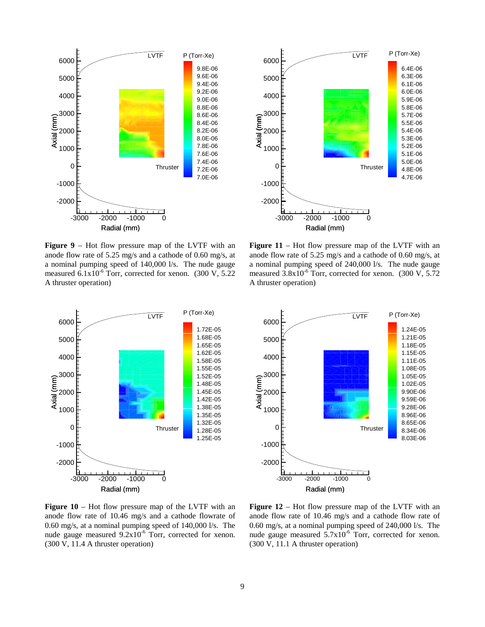

**Figure 9** – Hot flow pressure map of the LVTF with an anode flow rate of 5.25 mg/s and a cathode of 0.60 mg/s, at a nominal pumping speed of 140,000 l/s. The nude gauge measured  $6.1x10^{-6}$  Torr, corrected for xenon. (300 V, 5.22) A thruster operation)



**Figure 11** – Hot flow pressure map of the LVTF with an anode flow rate of 5.25 mg/s and a cathode of 0.60 mg/s, at a nominal pumping speed of 240,000 l/s. The nude gauge measured  $3.8x10^{-6}$  Torr, corrected for xenon. (300 V, 5.72) A thruster operation)





**Figure 10** – Hot flow pressure map of the LVTF with an anode flow rate of 10.46 mg/s and a cathode flowrate of 0.60 mg/s, at a nominal pumping speed of 140,000 l/s. The nude gauge measured  $9.2x10^{-6}$  Torr, corrected for xenon. (300 V, 11.4 A thruster operation)

**Figure 12** – Hot flow pressure map of the LVTF with an anode flow rate of 10.46 mg/s and a cathode flow rate of 0.60 mg/s, at a nominal pumping speed of 240,000 l/s. The nude gauge measured  $5.7x10^{-6}$  Torr, corrected for xenon. (300 V, 11.1 A thruster operation)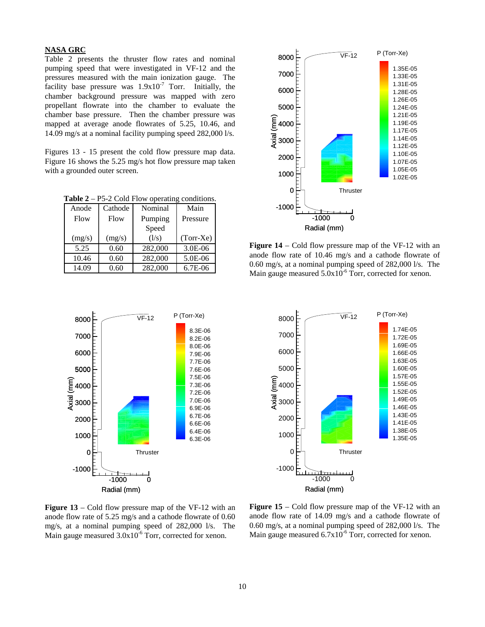# **NASA GRC**

Table 2 presents the thruster flow rates and nominal pumping speed that were investigated in VF-12 and the pressures measured with the main ionization gauge. The facility base pressure was  $1.9x10^{-7}$  Torr. Initially, the chamber background pressure was mapped with zero propellant flowrate into the chamber to evaluate the chamber base pressure. Then the chamber pressure was mapped at average anode flowrates of 5.25, 10.46, and 14.09 mg/s at a nominal facility pumping speed 282,000 l/s.

Figures 13 - 15 present the cold flow pressure map data. Figure 16 shows the 5.25 mg/s hot flow pressure map taken with a grounded outer screen.

**Table 2** – P5-2 Cold Flow operating conditions.

| Anode  | Cathode | Nominal | Main        |
|--------|---------|---------|-------------|
| Flow   | Flow    | Pumping | Pressure    |
|        |         | Speed   |             |
| (mg/s) | (mg/s)  | (1/s)   | $(Torr-Xe)$ |
| 5.25   | 0.60    | 282,000 | $3.0E - 06$ |
| 10.46  | 0.60    | 282,000 | 5.0E-06     |
| 14.09  | 0.60    | 282,000 | $6.7E-06$   |



**Figure 14** – Cold flow pressure map of the VF-12 with an anode flow rate of 10.46 mg/s and a cathode flowrate of 0.60 mg/s, at a nominal pumping speed of 282,000 l/s. The Main gauge measured  $5.0x10^{-6}$  Torr, corrected for xenon.



 $\overline{VF-12}$  P (Torr-Xe) 8000 1.74E-05 7000 1.72E-05 1.69E-05 6000 1.66E-05 1.63E-05 5000 1.60E-05 1.57E-05 ិ៍<br>- 4000<br>- 3000<br>- 3000 1.55E-05 4000 1.52E-05 1.49E-05 1.46E-05 1.43E-05 2000 1.41E-05 1.38E-05 1000 1.35E-05 0 **Thruster** -1000  $\sqrt{1+\frac{1}{2}}$ -1000 0 Radial (mm)

**Figure 13** – Cold flow pressure map of the VF-12 with an anode flow rate of 5.25 mg/s and a cathode flowrate of 0.60 mg/s, at a nominal pumping speed of 282,000 l/s. The Main gauge measured  $3.0x10^{-6}$  Torr, corrected for xenon.

**Figure 15** – Cold flow pressure map of the VF-12 with an anode flow rate of 14.09 mg/s and a cathode flowrate of 0.60 mg/s, at a nominal pumping speed of 282,000 l/s. The Main gauge measured  $6.7x10^{-6}$  Torr, corrected for xenon.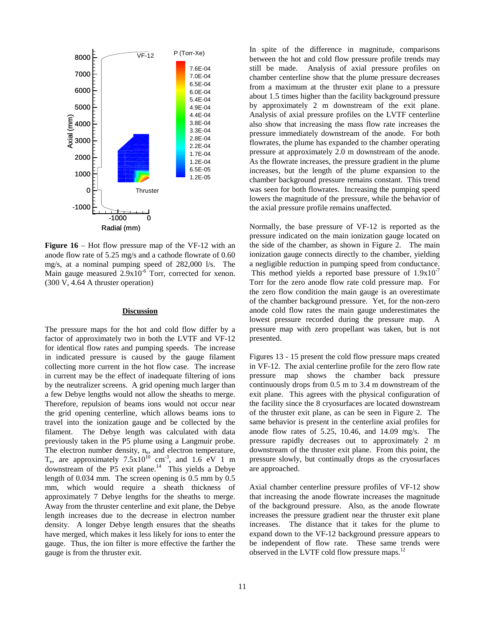

**Figure 16** – Hot flow pressure map of the VF-12 with an anode flow rate of 5.25 mg/s and a cathode flowrate of 0.60 mg/s, at a nominal pumping speed of 282,000 l/s. The Main gauge measured  $2.9x10^{-6}$  Torr, corrected for xenon. (300 V, 4.64 A thruster operation)

## **Discussion**

The pressure maps for the hot and cold flow differ by a factor of approximately two in both the LVTF and VF-12 for identical flow rates and pumping speeds. The increase in indicated pressure is caused by the gauge filament collecting more current in the hot flow case. The increase in current may be the effect of inadequate filtering of ions by the neutralizer screens. A grid opening much larger than a few Debye lengths would not allow the sheaths to merge. Therefore, repulsion of beams ions would not occur near the grid opening centerline, which allows beams ions to travel into the ionization gauge and be collected by the filament. The Debye length was calculated with data previously taken in the P5 plume using a Langmuir probe. The electron number density, n<sub>e</sub>, and electron temperature,  $T_e$ , are approximately  $7.5x10^{10}$  cm<sup>-3</sup>, and 1.6 eV 1 m downstream of the P5 exit plane. $14$  This yields a Debye length of 0.034 mm. The screen opening is 0.5 mm by 0.5 mm, which would require a sheath thickness of approximately 7 Debye lengths for the sheaths to merge. Away from the thruster centerline and exit plane, the Debye length increases due to the decrease in electron number density. A longer Debye length ensures that the sheaths have merged, which makes it less likely for ions to enter the gauge. Thus, the ion filter is more effective the farther the gauge is from the thruster exit.

In spite of the difference in magnitude, comparisons between the hot and cold flow pressure profile trends may still be made. Analysis of axial pressure profiles on chamber centerline show that the plume pressure decreases from a maximum at the thruster exit plane to a pressure about 1.5 times higher than the facility background pressure by approximately 2 m downstream of the exit plane. Analysis of axial pressure profiles on the LVTF centerline also show that increasing the mass flow rate increases the pressure immediately downstream of the anode. For both flowrates, the plume has expanded to the chamber operating pressure at approximately 2.0 m downstream of the anode. As the flowrate increases, the pressure gradient in the plume increases, but the length of the plume expansion to the chamber background pressure remains constant. This trend was seen for both flowrates. Increasing the pumping speed lowers the magnitude of the pressure, while the behavior of the axial pressure profile remains unaffected.

Normally, the base pressure of VF-12 is reported as the pressure indicated on the main ionization gauge located on the side of the chamber, as shown in Figure 2. The main ionization gauge connects directly to the chamber, yielding a negligible reduction in pumping speed from conductance. This method yields a reported base pressure of  $1.9x10^{-7}$ Torr for the zero anode flow rate cold pressure map. For the zero flow condition the main gauge is an overestimate of the chamber background pressure. Yet, for the non-zero anode cold flow rates the main gauge underestimates the lowest pressure recorded during the pressure map. A pressure map with zero propellant was taken, but is not presented.

Figures 13 - 15 present the cold flow pressure maps created in VF-12. The axial centerline profile for the zero flow rate pressure map shows the chamber back pressure continuously drops from 0.5 m to 3.4 m downstream of the exit plane. This agrees with the physical configuration of the facility since the 8 cryosurfaces are located downstream of the thruster exit plane, as can be seen in Figure 2. The same behavior is present in the centerline axial profiles for anode flow rates of 5.25, 10.46, and 14.09 mg/s. The pressure rapidly decreases out to approximately 2 m downstream of the thruster exit plane. From this point, the pressure slowly, but continually drops as the cryosurfaces are approached.

Axial chamber centerline pressure profiles of VF-12 show that increasing the anode flowrate increases the magnitude of the background pressure. Also, as the anode flowrate increases the pressure gradient near the thruster exit plane increases. The distance that it takes for the plume to expand down to the VF-12 background pressure appears to be independent of flow rate. These same trends were observed in the LVTF cold flow pressure maps.<sup>12</sup>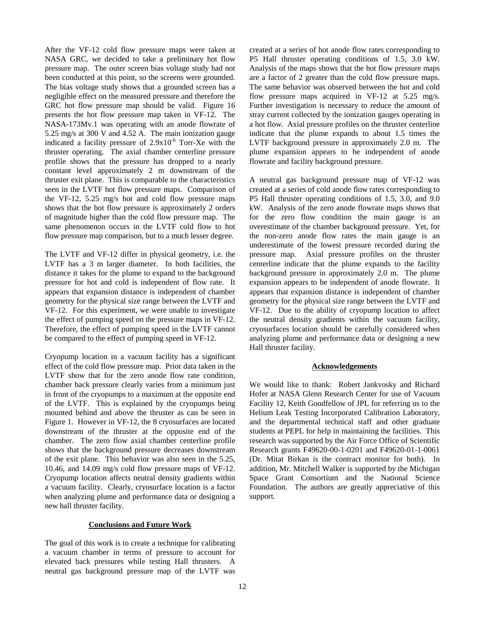After the VF-12 cold flow pressure maps were taken at NASA GRC, we decided to take a preliminary hot flow pressure map. The outer screen bias voltage study had not been conducted at this point, so the screens were grounded. The bias voltage study shows that a grounded screen has a negligible effect on the measured pressure and therefore the GRC hot flow pressure map should be valid. Figure 16 presents the hot flow pressure map taken in VF-12. The NASA-173Mv.1 was operating with an anode flowrate of 5.25 mg/s at 300 V and 4.52 A. The main ionization gauge indicated a facility pressure of  $2.9x10^{-6}$  Torr-Xe with the thruster operating. The axial chamber centerline pressure profile shows that the pressure has dropped to a nearly constant level approximately 2 m downstream of the thruster exit plane. This is comparable to the characteristics seen in the LVTF hot flow pressure maps. Comparison of the VF-12, 5.25 mg/s hot and cold flow pressure maps shows that the hot flow pressure is approximately 2 orders of magnitude higher than the cold flow pressure map. The same phenomenon occurs in the LVTF cold flow to hot flow pressure map comparison, but to a much lesser degree.

The LVTF and VF-12 differ in physical geometry, i.e. the LVTF has a 3 m larger diameter. In both facilities, the distance it takes for the plume to expand to the background pressure for hot and cold is independent of flow rate. It appears that expansion distance is independent of chamber geometry for the physical size range between the LVTF and VF-12. For this experiment, we were unable to investigate the effect of pumping speed on the pressure maps in VF-12. Therefore, the effect of pumping speed in the LVTF cannot be compared to the effect of pumping speed in VF-12.

Cryopump location in a vacuum facility has a significant effect of the cold flow pressure map. Prior data taken in the LVTF show that for the zero anode flow rate condition, chamber back pressure clearly varies from a minimum just in front of the cryopumps to a maximum at the opposite end of the LVTF. This is explained by the cryopumps being mounted behind and above the thruster as can be seen in Figure 1. However in VF-12, the 8 cryosurfaces are located downstream of the thruster at the opposite end of the chamber. The zero flow axial chamber centerline profile shows that the background pressure decreases downstream of the exit plane. This behavior was also seen in the 5.25, 10.46, and 14.09 mg/s cold flow pressure maps of VF-12. Cryopump location affects neutral density gradients within a vacuum facility. Clearly, cryosurface location is a factor when analyzing plume and performance data or designing a new hall thruster facility.

## **Conclusions and Future Work**

The goal of this work is to create a technique for calibrating a vacuum chamber in terms of pressure to account for elevated back pressures while testing Hall thrusters. A neutral gas background pressure map of the LVTF was

created at a series of hot anode flow rates corresponding to P5 Hall thruster operating conditions of 1.5, 3.0 kW. Analysis of the maps shows that the hot flow pressure maps are a factor of 2 greater than the cold flow pressure maps. The same behavior was observed between the hot and cold flow pressure maps acquired in VF-12 at 5.25 mg/s. Further investigation is necessary to reduce the amount of stray current collected by the ionization gauges operating in a hot flow. Axial pressure profiles on the thruster centerline indicate that the plume expands to about 1.5 times the LVTF background pressure in approximately 2.0 m. The plume expansion appears to be independent of anode flowrate and facility background pressure.

A neutral gas background pressure map of VF-12 was created at a series of cold anode flow rates corresponding to P5 Hall thruster operating conditions of 1.5, 3.0, and 9.0 kW. Analysis of the zero anode flowrate maps shows that for the zero flow condition the main gauge is an overestimate of the chamber background pressure. Yet, for the non-zero anode flow rates the main gauge is an underestimate of the lowest pressure recorded during the pressure map. Axial pressure profiles on the thruster centerline indicate that the plume expands to the facility background pressure in approximately 2.0 m. The plume expansion appears to be independent of anode flowrate. It appears that expansion distance is independent of chamber geometry for the physical size range between the LVTF and VF-12. Due to the ability of cryopump location to affect the neutral density gradients within the vacuum facility, cryosurfaces location should be carefully considered when analyzing plume and performance data or designing a new Hall thruster facility.

## **Acknowledgements**

We would like to thank: Robert Jankvosky and Richard Hofer at NASA Glenn Research Center for use of Vacuum Facility 12, Keith Goodfellow of JPL for referring us to the Helium Leak Testing Incorporated Calibration Laboratory, and the departmental technical staff and other graduate students at PEPL for help in maintaining the facilities. This research was supported by the Air Force Office of Scientific Research grants F49620-00-1-0201 and F49620-01-1-0061 (Dr. Mitat Birkan is the contract monitor for both). In addition, Mr. Mitchell Walker is supported by the Michigan Space Grant Consortium and the National Science Foundation. The authors are greatly appreciative of this support.